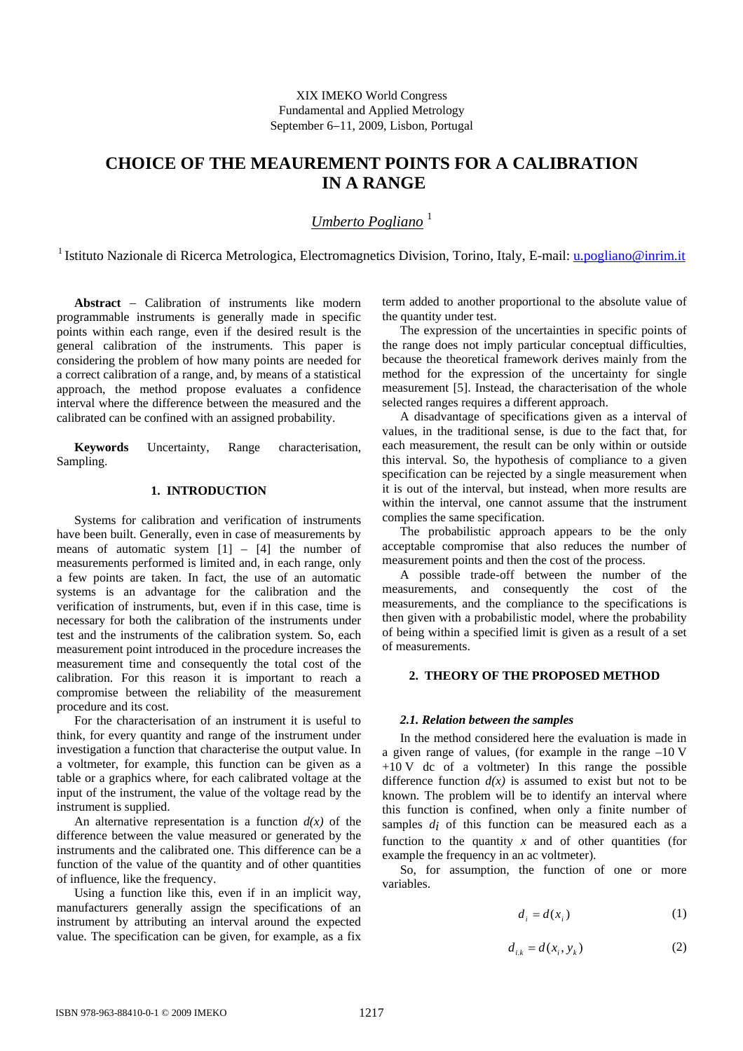XIX IMEKO World Congress Fundamental and Applied Metrology September 6−11, 2009, Lisbon, Portugal

# **CHOICE OF THE MEAUREMENT POINTS FOR A CALIBRATION IN A RANGE**

*Umberto Pogliano* <sup>1</sup>

<sup>1</sup> Istituto Nazionale di Ricerca Metrologica, Electromagnetics Division, Torino, Italy, E-mail: *u.pogliano@inrim.it* 

**Abstract** − Calibration of instruments like modern programmable instruments is generally made in specific points within each range, even if the desired result is the general calibration of the instruments. This paper is considering the problem of how many points are needed for a correct calibration of a range, and, by means of a statistical approach, the method propose evaluates a confidence interval where the difference between the measured and the calibrated can be confined with an assigned probability.

**Keywords** Uncertainty, Range characterisation, Sampling.

## **1. INTRODUCTION**

Systems for calibration and verification of instruments have been built. Generally, even in case of measurements by means of automatic system  $[1]$  –  $[4]$  the number of measurements performed is limited and, in each range, only a few points are taken. In fact, the use of an automatic systems is an advantage for the calibration and the verification of instruments, but, even if in this case, time is necessary for both the calibration of the instruments under test and the instruments of the calibration system. So, each measurement point introduced in the procedure increases the measurement time and consequently the total cost of the calibration. For this reason it is important to reach a compromise between the reliability of the measurement procedure and its cost.

For the characterisation of an instrument it is useful to think, for every quantity and range of the instrument under investigation a function that characterise the output value. In a voltmeter, for example, this function can be given as a table or a graphics where, for each calibrated voltage at the input of the instrument, the value of the voltage read by the instrument is supplied.

An alternative representation is a function  $d(x)$  of the difference between the value measured or generated by the instruments and the calibrated one. This difference can be a function of the value of the quantity and of other quantities of influence, like the frequency.

Using a function like this, even if in an implicit way, manufacturers generally assign the specifications of an instrument by attributing an interval around the expected value. The specification can be given, for example, as a fix term added to another proportional to the absolute value of the quantity under test.

The expression of the uncertainties in specific points of the range does not imply particular conceptual difficulties, because the theoretical framework derives mainly from the method for the expression of the uncertainty for single measurement [5]. Instead, the characterisation of the whole selected ranges requires a different approach.

A disadvantage of specifications given as a interval of values, in the traditional sense, is due to the fact that, for each measurement, the result can be only within or outside this interval. So, the hypothesis of compliance to a given specification can be rejected by a single measurement when it is out of the interval, but instead, when more results are within the interval, one cannot assume that the instrument complies the same specification.

The probabilistic approach appears to be the only acceptable compromise that also reduces the number of measurement points and then the cost of the process.

A possible trade-off between the number of the measurements, and consequently the cost of the measurements, and the compliance to the specifications is then given with a probabilistic model, where the probability of being within a specified limit is given as a result of a set of measurements.

### **2. THEORY OF THE PROPOSED METHOD**

### *2.1. Relation between the samples*

In the method considered here the evaluation is made in a given range of values, (for example in the range –10 V  $+10$  V dc of a voltmeter) In this range the possible difference function  $d(x)$  is assumed to exist but not to be known. The problem will be to identify an interval where this function is confined, when only a finite number of samples  $d_i$  of this function can be measured each as a function to the quantity  $x$  and of other quantities (for example the frequency in an ac voltmeter).

So, for assumption, the function of one or more variables.

$$
d_i = d(x_i) \tag{1}
$$

$$
d_{i,k} = d(x_i, y_k) \tag{2}
$$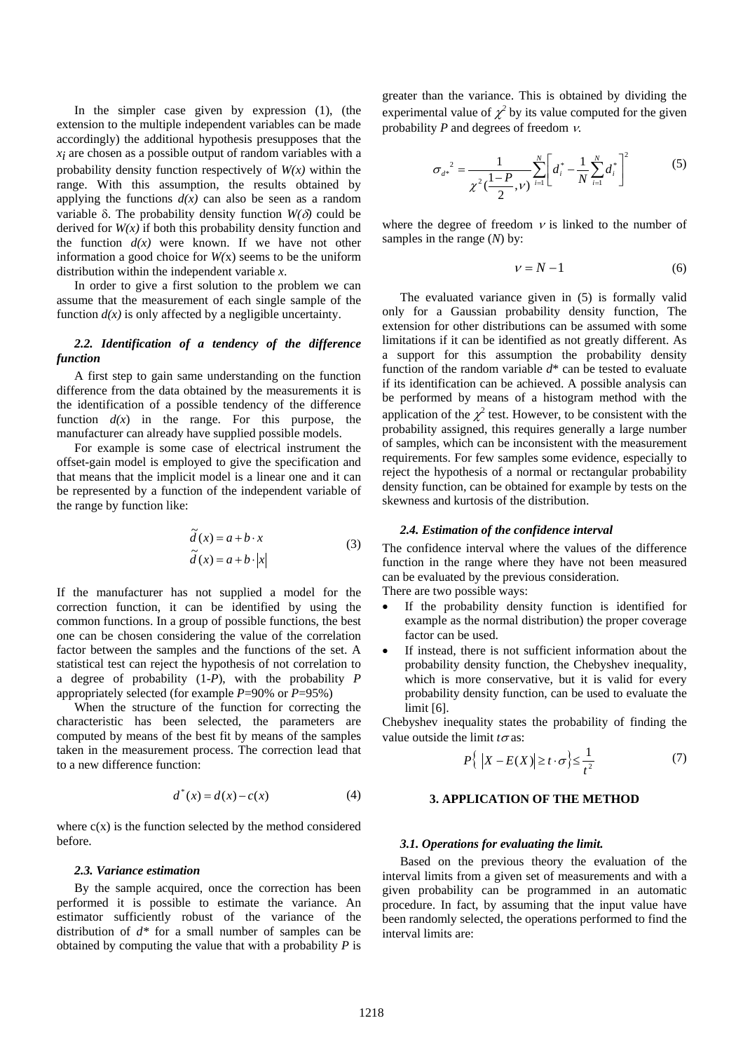In the simpler case given by expression (1), (the extension to the multiple independent variables can be made accordingly) the additional hypothesis presupposes that the *xi* are chosen as a possible output of random variables with a probability density function respectively of *W(x)* within the range. With this assumption, the results obtained by applying the functions  $d(x)$  can also be seen as a random variable δ. The probability density function *W(*δ*)* could be derived for  $W(x)$  if both this probability density function and the function  $d(x)$  were known. If we have not other information a good choice for *W(*x) seems to be the uniform distribution within the independent variable *x*.

In order to give a first solution to the problem we can assume that the measurement of each single sample of the function  $d(x)$  is only affected by a negligible uncertainty.

### *2.2. Identification of a tendency of the difference function*

A first step to gain same understanding on the function difference from the data obtained by the measurements it is the identification of a possible tendency of the difference function  $d(x)$  in the range. For this purpose, the manufacturer can already have supplied possible models.

For example is some case of electrical instrument the offset-gain model is employed to give the specification and that means that the implicit model is a linear one and it can be represented by a function of the independent variable of the range by function like:

$$
\widetilde{d}(x) = a + b \cdot x
$$
  
\n
$$
\widetilde{d}(x) = a + b \cdot |x|
$$
\n(3)

If the manufacturer has not supplied a model for the correction function, it can be identified by using the common functions. In a group of possible functions, the best one can be chosen considering the value of the correlation factor between the samples and the functions of the set. A statistical test can reject the hypothesis of not correlation to a degree of probability (1-*P*), with the probability *P* appropriately selected (for example *P*=90% or *P*=95%)

When the structure of the function for correcting the characteristic has been selected, the parameters are computed by means of the best fit by means of the samples taken in the measurement process. The correction lead that to a new difference function:

$$
d^*(x) = d(x) - c(x)
$$
 (4)

where  $c(x)$  is the function selected by the method considered before.

#### *2.3. Variance estimation*

By the sample acquired, once the correction has been performed it is possible to estimate the variance. An estimator sufficiently robust of the variance of the distribution of *d\** for a small number of samples can be obtained by computing the value that with a probability *P* is greater than the variance. This is obtained by dividing the experimental value of  $\chi^2$  by its value computed for the given probability *P* and degrees of freedom ν.

$$
{\sigma_{d^*}}^2 = \frac{1}{\chi^2(\frac{1-P}{2}, \nu)} \sum_{i=1}^N \left[ d_i^* - \frac{1}{N} \sum_{i=1}^N d_i^* \right]^2 \tag{5}
$$

where the degree of freedom  $\nu$  is linked to the number of samples in the range (*N*) by:

$$
v = N - 1 \tag{6}
$$

The evaluated variance given in (5) is formally valid only for a Gaussian probability density function, The extension for other distributions can be assumed with some limitations if it can be identified as not greatly different. As a support for this assumption the probability density function of the random variable *d*\* can be tested to evaluate if its identification can be achieved. A possible analysis can be performed by means of a histogram method with the application of the  $\chi^2$  test. However, to be consistent with the probability assigned, this requires generally a large number of samples, which can be inconsistent with the measurement requirements. For few samples some evidence, especially to reject the hypothesis of a normal or rectangular probability density function, can be obtained for example by tests on the skewness and kurtosis of the distribution.

### *2.4. Estimation of the confidence interval*

The confidence interval where the values of the difference function in the range where they have not been measured can be evaluated by the previous consideration.

There are two possible ways:

- If the probability density function is identified for example as the normal distribution) the proper coverage factor can be used.
- If instead, there is not sufficient information about the probability density function, the Chebyshev inequality, which is more conservative, but it is valid for every probability density function, can be used to evaluate the limit [6].

Chebyshev inequality states the probability of finding the value outside the limit *t*<sup>σ</sup> as:

$$
P\left\{ |X - E(X)| \ge t \cdot \sigma \right\} \le \frac{1}{t^2} \tag{7}
$$

### **3. APPLICATION OF THE METHOD**

#### *3.1. Operations for evaluating the limit.*

Based on the previous theory the evaluation of the interval limits from a given set of measurements and with a given probability can be programmed in an automatic procedure. In fact, by assuming that the input value have been randomly selected, the operations performed to find the interval limits are: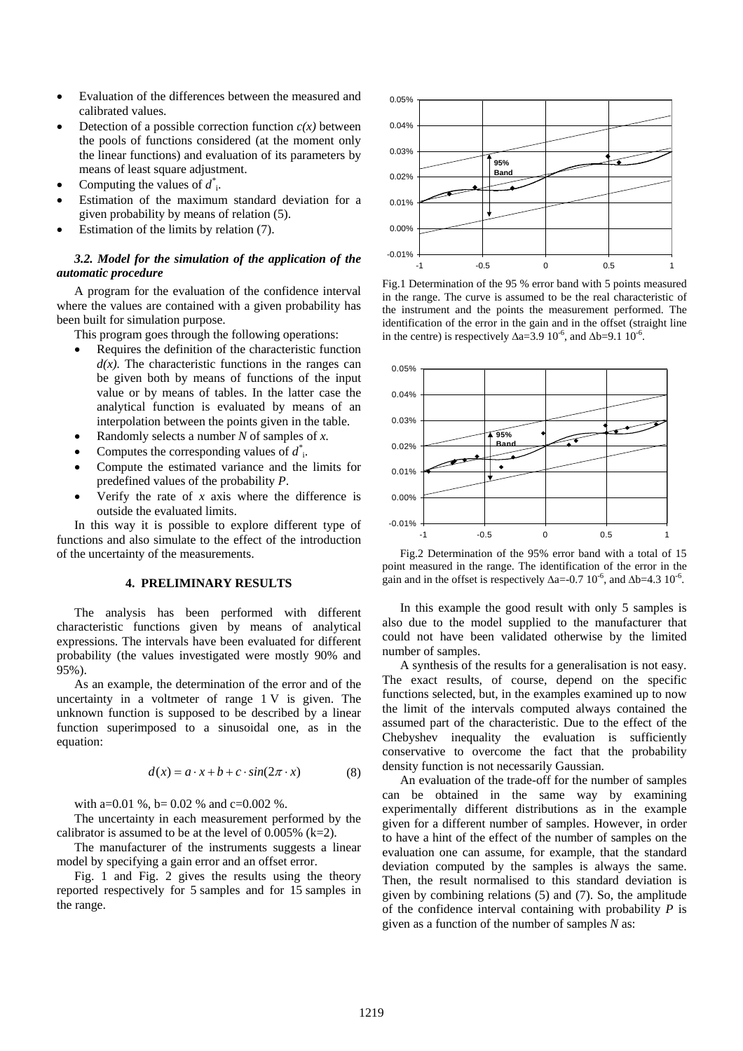- Evaluation of the differences between the measured and calibrated values.
- Detection of a possible correction function  $c(x)$  between the pools of functions considered (at the moment only the linear functions) and evaluation of its parameters by means of least square adjustment.
- Computing the values of  $d^*$ <sub>i</sub>.
- Estimation of the maximum standard deviation for a given probability by means of relation (5).
- Estimation of the limits by relation (7).

### *3.2. Model for the simulation of the application of the automatic procedure*

A program for the evaluation of the confidence interval where the values are contained with a given probability has been built for simulation purpose.

This program goes through the following operations:

- Requires the definition of the characteristic function  $d(x)$ . The characteristic functions in the ranges can be given both by means of functions of the input value or by means of tables. In the latter case the analytical function is evaluated by means of an interpolation between the points given in the table.
- Randomly selects a number *N* of samples of *x.*
- Computes the corresponding values of *d\** i.
- Compute the estimated variance and the limits for predefined values of the probability *P*.
- Verify the rate of *x* axis where the difference is outside the evaluated limits.

In this way it is possible to explore different type of functions and also simulate to the effect of the introduction of the uncertainty of the measurements.

### **4. PRELIMINARY RESULTS**

The analysis has been performed with different characteristic functions given by means of analytical expressions. The intervals have been evaluated for different probability (the values investigated were mostly 90% and 95%).

As an example, the determination of the error and of the uncertainty in a voltmeter of range 1 V is given. The unknown function is supposed to be described by a linear function superimposed to a sinusoidal one, as in the equation:

$$
d(x) = a \cdot x + b + c \cdot \sin(2\pi \cdot x) \tag{8}
$$

with a=0.01 %, b= 0.02 % and c=0.002 %.

The uncertainty in each measurement performed by the calibrator is assumed to be at the level of  $0.005\%$  (k=2).

The manufacturer of the instruments suggests a linear model by specifying a gain error and an offset error.

Fig. 1 and Fig. 2 gives the results using the theory reported respectively for 5 samples and for 15 samples in the range.



Fig.1 Determination of the 95 % error band with 5 points measured in the range. The curve is assumed to be the real characteristic of the instrument and the points the measurement performed. The identification of the error in the gain and in the offset (straight line in the centre) is respectively  $\Delta a=3.9 \times 10^{-6}$ , and  $\Delta b=9.1 \times 10^{-6}$ .



Fig.2 Determination of the 95% error band with a total of 15 point measured in the range. The identification of the error in the gain and in the offset is respectively  $\Delta a = -0.7 \times 10^{-6}$ , and  $\Delta b = 4.3 \times 10^{-6}$ .

In this example the good result with only 5 samples is also due to the model supplied to the manufacturer that could not have been validated otherwise by the limited number of samples.

A synthesis of the results for a generalisation is not easy. The exact results, of course, depend on the specific functions selected, but, in the examples examined up to now the limit of the intervals computed always contained the assumed part of the characteristic. Due to the effect of the Chebyshev inequality the evaluation is sufficiently conservative to overcome the fact that the probability density function is not necessarily Gaussian.

An evaluation of the trade-off for the number of samples can be obtained in the same way by examining experimentally different distributions as in the example given for a different number of samples. However, in order to have a hint of the effect of the number of samples on the evaluation one can assume, for example, that the standard deviation computed by the samples is always the same. Then, the result normalised to this standard deviation is given by combining relations (5) and (7). So, the amplitude of the confidence interval containing with probability *P* is given as a function of the number of samples *N* as: